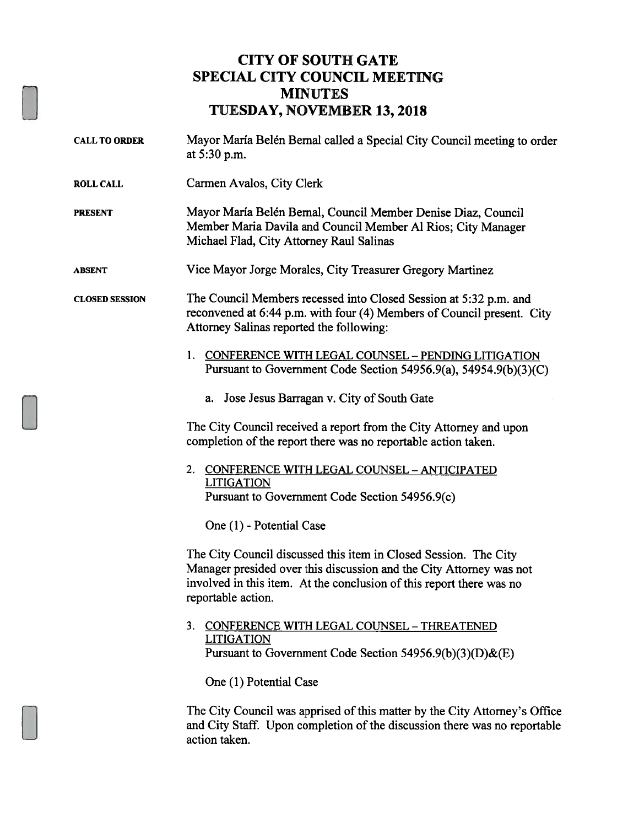## CITY OF SOUTH GATE SPECIAL CITY COUNCIL MEETING **MINUTES** TUESDAY, NOVEMBER 13, 2018

- CALL TO ORDER Mayor Maria Belén Bernal called a Special City Council meeting to order at 5:30 p.m.
- ROLL CALL Carmen Avalos, City Clerk
- PRESENT Mayor María Belén Bernal, Council Member Denise Diaz, Council Member Maria Davila and Council Member Al Rios; City Manager Michael Flad, City Attorney Raul Salinas
- ABSENT Vice Mayor Jorge Morales, City Treasurer Gregory Martinez

CLOSED SESSION The Council Members recessed into Closed Session at 5:32 p.m. and reconvened at 6:44 p.m. with four (4) Members of Council present. City Attorney Salinas reported the following:

- 1. CONFERENCE WITH LEGAL COUNSEL PENDING LITIGATION Pursuant to Government Code Section 54956.9(a), 54954.9(b)(3)(C)
	- a. Jose Jesus Barragan v. City of South Gate

The City Council received a report from the City Attorney and upon completion of the report there was no reportable action taken.

2. CONFERENCE WITH LEGAL COUNSEL - ANTICIPATED LITIGATION Pursuant to Government Code Section 54956.9(c)

One (1) - Potential Case

The City Council discussed this item in Closed Session. The City Manager presided over this discussion and the City Attorney was not involved in this item. At the conclusion of this report there was no reportable action.

3. CONFERENCE WITH LEGAL COUNSEL - THREATENED LITIGATION Pursuant to Government Code Section 54956.9(b)(3)(D)&(E)

One (1) Potential Case

The City Council was apprised of this matter by the City Attorney's Office and City Staff. Upon completion of the discussion there was no reportable action taken.